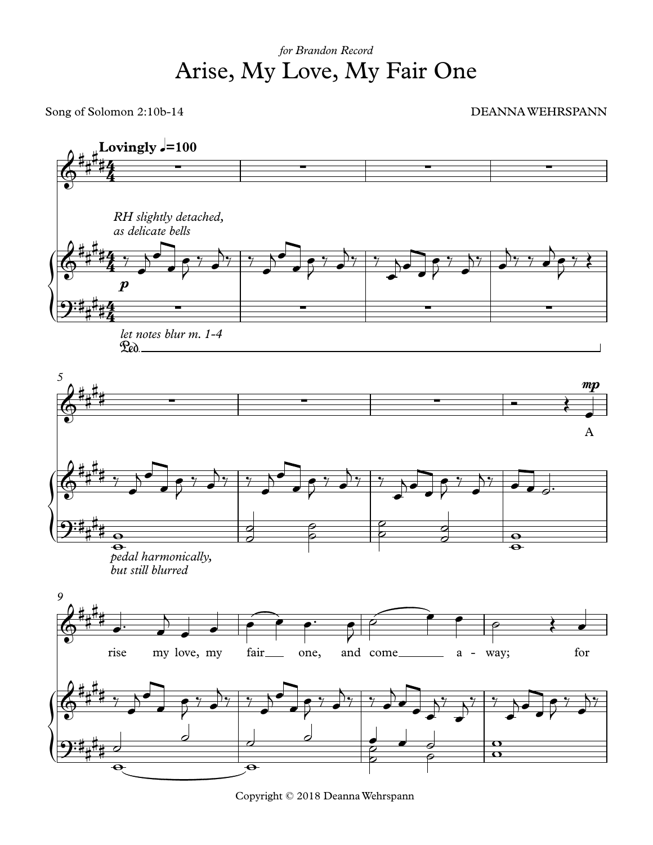## Arise, My Love, My Fair One *for Brandon Record*

Song of Solomon 2:10b-14 DEANNAWEHRSPANN



Copyright © 2018 DeannaWehrspann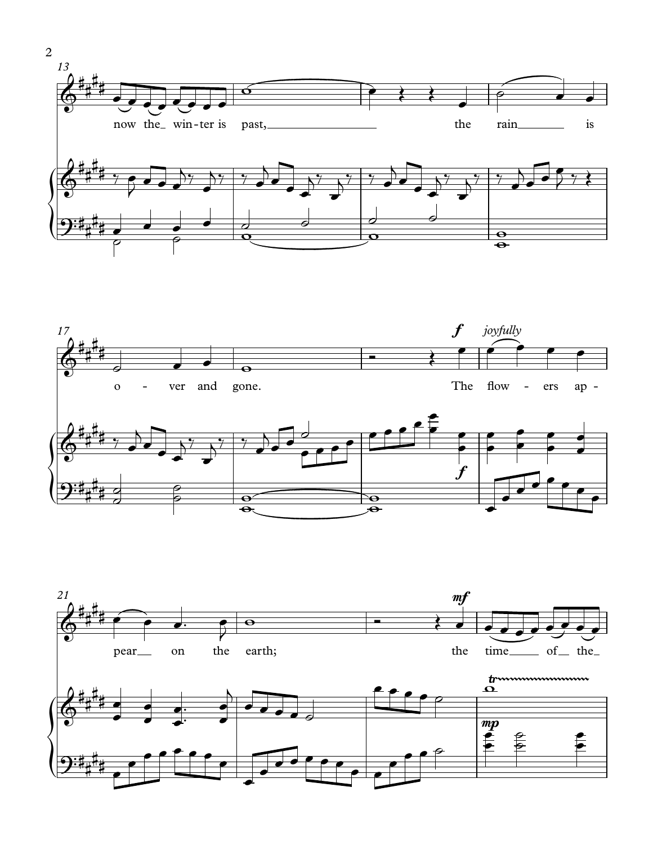